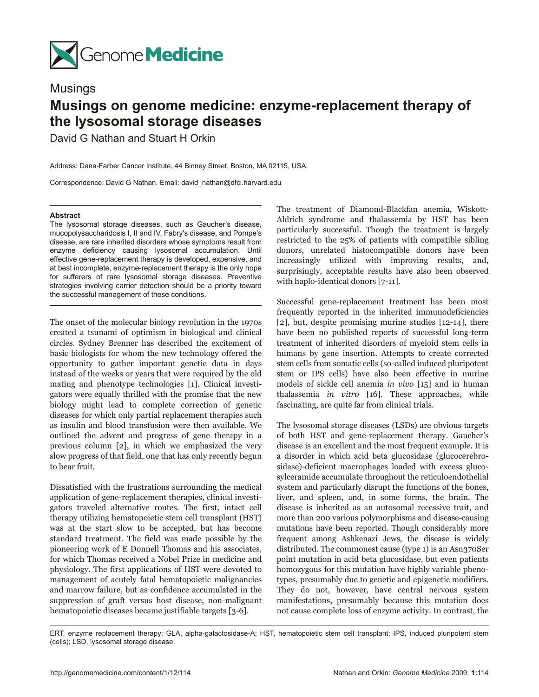

Musings

## **Musings on genome medicine: enzyme-replacement therapy of the lysosomal storage diseases**

David G Nathan and Stuart H Orkin

Address: Dana-Farber Cancer Institute, 44 Binney Street, Boston, MA 02115, USA.

Correspondence: David G Nathan. Email: david\_nathan@dfci.harvard.edu

## **Abstract**

The lysosomal storage diseases, such as Gaucher's disease, mucopolysaccharidosis I, II and IV, Fabry's disease, and Pompe's disease, are rare inherited disorders whose symptoms result from enzyme deficiency causing lysosomal accumulation. Until effective gene-replacement therapy is developed, expensive, and at best incomplete, enzyme-replacement therapy is the only hope for sufferers of rare lysosomal storage diseases. Preventive strategies involving carrier detection should be a priority toward the successful management of these conditions.

The onset of the molecular biology revolution in the 1970s created a tsunami of optimism in biological and clinical circles. Sydney Brenner has described the excitement of basic biologists for whom the new technology offered the opportunity to gather important genetic data in days instead of the weeks or years that were required by the old mating and phenotype technologies [1]. Clinical investigators were equally thrilled with the promise that the new biology might lead to complete correction of genetic diseases for which only partial replacement therapies such as insulin and blood transfusion were then available. We outlined the advent and progress of gene therapy in a previous column [2], in which we emphasized the very slow progress of that field, one that has only recently begun to bear fruit.

Dissatisfied with the frustrations surrounding the medical application of gene-replacement therapies, clinical investigators traveled alternative routes. The first, intact cell therapy utilizing hematopoietic stem cell transplant (HST) was at the start slow to be accepted, but has become standard treatment. The field was made possible by the pioneering work of E Donnell Thomas and his associates, for which Thomas received a Nobel Prize in medicine and physiology. The first applications of HST were devoted to management of acutely fatal hematopoietic malignancies and marrow failure, but as confidence accumulated in the suppression of graft versus host disease, non-malignant hematopoietic diseases became justifiable targets [3-6].

The treatment of Diamond-Blackfan anemia, Wiskott-Aldrich syndrome and thalassemia by HST has been particularly successful. Though the treatment is largely restricted to the 25% of patients with compatible sibling donors, unrelated histocompatible donors have been increasingly utilized with improving results, and, surprisingly, acceptable results have also been observed with haplo-identical donors [7-11].

Successful gene-replacement treatment has been most frequently reported in the inherited immunodeficiencies [2], but, despite promising murine studies [12-14], there have been no published reports of successful long-term treatment of inherited disorders of myeloid stem cells in humans by gene insertion. Attempts to create corrected stem cells from somatic cells (so-called induced pluripotent stem or IPS cells) have also been effective in murine models of sickle cell anemia *in vivo* [15] and in human thalassemia *in vitro* [16]. These approaches, while fascinating, are quite far from clinical trials.

The lysosomal storage diseases (LSDs) are obvious targets of both HST and gene-replacement therapy. Gaucher's disease is an excellent and the most frequent example. It is a disorder in which acid beta glucosidase (glucocerebrosidase)-deficient macrophages loaded with excess glucosylceramide accumulate throughout the reticuloendothelial system and particularly disrupt the functions of the bones, liver, and spleen, and, in some forms, the brain. The disease is inherited as an autosomal recessive trait, and more than 200 various polymorphisms and disease-causing mutations have been reported. Though considerably more frequent among Ashkenazi Jews, the disease is widely distributed. The commonest cause (type 1) is an Asn370Ser point mutation in acid beta glucosidase, but even patients homozygous for this mutation have highly variable phenotypes, presumably due to genetic and epigenetic modifiers. They do not, however, have central nervous system manifestations, presumably because this mutation does not cause complete loss of enzyme activity. In contrast, the

ERT, enzyme replacement therapy; GLA, alpha-galactosidase-A; HST, hematopoietic stem cell transplant; IPS, induced pluripotent stem (cells); LSD, lysosomal storage disease.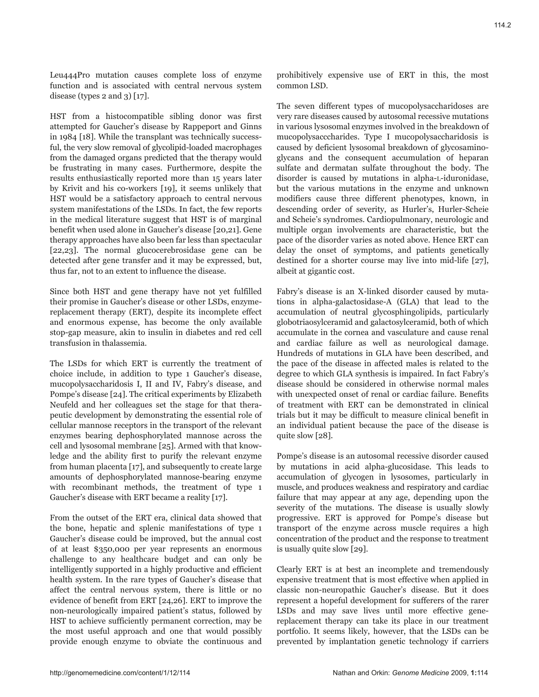Leu444Pro mutation causes complete loss of enzyme function and is associated with central nervous system disease (types  $2$  and  $3$ ) [17].

HST from a histocompatible sibling donor was first attempted for Gaucher's disease by Rappeport and Ginns in 1984 [18]. While the transplant was technically successful, the very slow removal of glycolipid-loaded macrophages from the damaged organs predicted that the therapy would be frustrating in many cases. Furthermore, despite the results enthusiastically reported more than 15 years later by Krivit and his co-workers [19], it seems unlikely that HST would be a satisfactory approach to central nervous system manifestations of the LSDs. In fact, the few reports in the medical literature suggest that HST is of marginal benefit when used alone in Gaucher's disease [20,21]. Gene therapy approaches have also been far less than spectacular [22,23]. The normal glucocerebrosidase gene can be detected after gene transfer and it may be expressed, but, thus far, not to an extent to influence the disease.

Since both HST and gene therapy have not yet fulfilled their promise in Gaucher's disease or other LSDs, enzymereplacement therapy (ERT), despite its incomplete effect and enormous expense, has become the only available stop-gap measure, akin to insulin in diabetes and red cell transfusion in thalassemia.

The LSDs for which ERT is currently the treatment of choice include, in addition to type 1 Gaucher's disease, mucopolysaccharidosis I, II and IV, Fabry's disease, and Pompe's disease [24]. The critical experiments by Elizabeth Neufeld and her colleagues set the stage for that therapeutic development by demonstrating the essential role of cellular mannose receptors in the transport of the relevant enzymes bearing dephosphorylated mannose across the cell and lysosomal membrane [25]. Armed with that knowledge and the ability first to purify the relevant enzyme from human placenta [17], and subsequently to create large amounts of dephosphorylated mannose-bearing enzyme with recombinant methods, the treatment of type 1 Gaucher's disease with ERT became a reality [17].

From the outset of the ERT era, clinical data showed that the bone, hepatic and splenic manifestations of type 1 Gaucher's disease could be improved, but the annual cost of at least \$350,000 per year represents an enormous challenge to any healthcare budget and can only be intelligently supported in a highly productive and efficient health system. In the rare types of Gaucher's disease that affect the central nervous system, there is little or no evidence of benefit from ERT [24,26]. ERT to improve the non-neurologically impaired patient's status, followed by HST to achieve sufficiently permanent correction, may be the most useful approach and one that would possibly provide enough enzyme to obviate the continuous and

prohibitively expensive use of ERT in this, the most common LSD.

The seven different types of mucopolysaccharidoses are very rare diseases caused by autosomal recessive mutations in various lysosomal enzymes involved in the breakdown of mucopolysacccharides. Type I mucopolysaccharidosis is caused by deficient lysosomal breakdown of glycosaminoglycans and the consequent accumulation of heparan sulfate and dermatan sulfate throughout the body. The disorder is caused by mutations in alpha-l-iduronidase, but the various mutations in the enzyme and unknown modifiers cause three different phenotypes, known, in descending order of severity, as Hurler's, Hurler-Scheie and Scheie's syndromes. Cardiopulmonary, neurologic and multiple organ involvements are characteristic, but the pace of the disorder varies as noted above. Hence ERT can delay the onset of symptoms, and patients genetically destined for a shorter course may live into mid-life [27], albeit at gigantic cost.

Fabry's disease is an X-linked disorder caused by mutations in alpha-galactosidase-A (GLA) that lead to the accumulation of neutral glycosphingolipids, particularly globotriaosylceramid and galactosylceramid, both of which accumulate in the cornea and vasculature and cause renal and cardiac failure as well as neurological damage. Hundreds of mutations in GLA have been described, and the pace of the disease in affected males is related to the degree to which GLA synthesis is impaired. In fact Fabry's disease should be considered in otherwise normal males with unexpected onset of renal or cardiac failure. Benefits of treatment with ERT can be demonstrated in clinical trials but it may be difficult to measure clinical benefit in an individual patient because the pace of the disease is quite slow [28].

Pompe's disease is an autosomal recessive disorder caused by mutations in acid alpha-glucosidase. This leads to accumulation of glycogen in lysosomes, particularly in muscle, and produces weakness and respiratory and cardiac failure that may appear at any age, depending upon the severity of the mutations. The disease is usually slowly progressive. ERT is approved for Pompe's disease but transport of the enzyme across muscle requires a high concentration of the product and the response to treatment is usually quite slow [29].

Clearly ERT is at best an incomplete and tremendously expensive treatment that is most effective when applied in classic non-neuropathic Gaucher's disease. But it does represent a hopeful development for sufferers of the rarer LSDs and may save lives until more effective genereplacement therapy can take its place in our treatment portfolio. It seems likely, however, that the LSDs can be prevented by implantation genetic technology if carriers